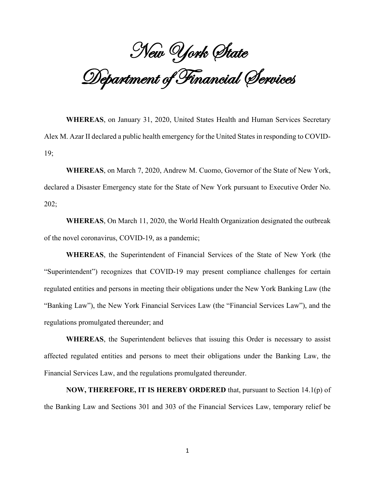New York State Department of Financial Services

**WHEREAS**, on January 31, 2020, United States Health and Human Services Secretary Alex M. Azar II declared a public health emergency for the United States in responding to COVID-19;

**WHEREAS**, on March 7, 2020, Andrew M. Cuomo, Governor of the State of New York, declared a Disaster Emergency state for the State of New York pursuant to Executive Order No. 202;

**WHEREAS**, On March 11, 2020, the World Health Organization designated the outbreak of the novel coronavirus, COVID-19, as a pandemic;

**WHEREAS**, the Superintendent of Financial Services of the State of New York (the "Superintendent") recognizes that COVID-19 may present compliance challenges for certain regulated entities and persons in meeting their obligations under the New York Banking Law (the "Banking Law"), the New York Financial Services Law (the "Financial Services Law"), and the regulations promulgated thereunder; and

**WHEREAS**, the Superintendent believes that issuing this Order is necessary to assist affected regulated entities and persons to meet their obligations under the Banking Law, the Financial Services Law, and the regulations promulgated thereunder.

**NOW, THEREFORE, IT IS HEREBY ORDERED** that, pursuant to Section 14.1(p) of the Banking Law and Sections 301 and 303 of the Financial Services Law, temporary relief be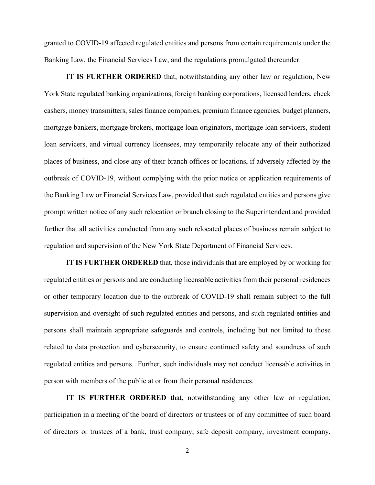granted to COVID-19 affected regulated entities and persons from certain requirements under the Banking Law, the Financial Services Law, and the regulations promulgated thereunder.

**IT IS FURTHER ORDERED** that, notwithstanding any other law or regulation, New York State regulated banking organizations, foreign banking corporations, licensed lenders, check cashers, money transmitters, sales finance companies, premium finance agencies, budget planners, mortgage bankers, mortgage brokers, mortgage loan originators, mortgage loan servicers, student loan servicers, and virtual currency licensees, may temporarily relocate any of their authorized places of business, and close any of their branch offices or locations, if adversely affected by the outbreak of COVID-19, without complying with the prior notice or application requirements of the Banking Law or Financial Services Law, provided that such regulated entities and persons give prompt written notice of any such relocation or branch closing to the Superintendent and provided further that all activities conducted from any such relocated places of business remain subject to regulation and supervision of the New York State Department of Financial Services.

**IT IS FURTHER ORDERED** that, those individuals that are employed by or working for regulated entities or persons and are conducting licensable activities from their personal residences or other temporary location due to the outbreak of COVID-19 shall remain subject to the full supervision and oversight of such regulated entities and persons, and such regulated entities and persons shall maintain appropriate safeguards and controls, including but not limited to those related to data protection and cybersecurity, to ensure continued safety and soundness of such regulated entities and persons. Further, such individuals may not conduct licensable activities in person with members of the public at or from their personal residences.

**IT IS FURTHER ORDERED** that, notwithstanding any other law or regulation, participation in a meeting of the board of directors or trustees or of any committee of such board of directors or trustees of a bank, trust company, safe deposit company, investment company,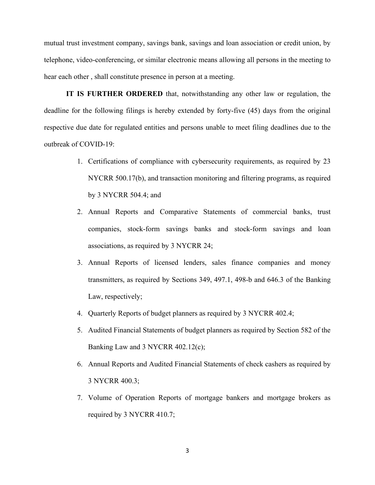mutual trust investment company, savings bank, savings and loan association or credit union, by telephone, video-conferencing, or similar electronic means allowing all persons in the meeting to hear each other , shall constitute presence in person at a meeting.

**IT IS FURTHER ORDERED** that, notwithstanding any other law or regulation, the deadline for the following filings is hereby extended by forty-five (45) days from the original respective due date for regulated entities and persons unable to meet filing deadlines due to the outbreak of COVID-19:

- 1. Certifications of compliance with cybersecurity requirements, as required by 23 NYCRR 500.17(b), and transaction monitoring and filtering programs, as required by 3 NYCRR 504.4; and
- 2. Annual Reports and Comparative Statements of commercial banks, trust companies, stock-form savings banks and stock-form savings and loan associations, as required by 3 NYCRR 24;
- 3. Annual Reports of licensed lenders, sales finance companies and money transmitters, as required by Sections 349, 497.1, 498-b and 646.3 of the Banking Law, respectively;
- 4. Quarterly Reports of budget planners as required by 3 NYCRR 402.4;
- 5. Audited Financial Statements of budget planners as required by Section 582 of the Banking Law and 3 NYCRR 402.12(c);
- 6. Annual Reports and Audited Financial Statements of check cashers as required by 3 NYCRR 400.3;
- 7. Volume of Operation Reports of mortgage bankers and mortgage brokers as required by 3 NYCRR 410.7;